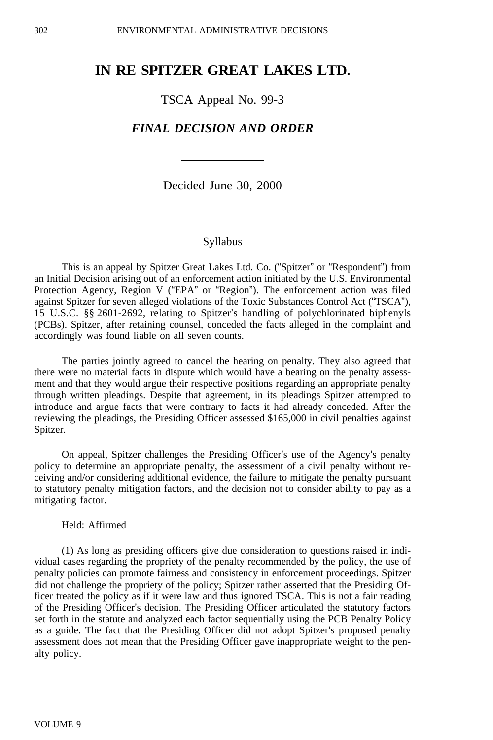# **IN RE SPITZER GREAT LAKES LTD.**

TSCA Appeal No. 99-3

## *FINAL DECISION AND ORDER*

Decided June 30, 2000

### Syllabus

This is an appeal by Spitzer Great Lakes Ltd. Co. ("Spitzer" or "Respondent") from an Initial Decision arising out of an enforcement action initiated by the U.S. Environmental Protection Agency, Region V ("EPA" or "Region"). The enforcement action was filed against Spitzer for seven alleged violations of the Toxic Substances Control Act ("TSCA"), 15 U.S.C. §§ 2601-2692, relating to Spitzer's handling of polychlorinated biphenyls (PCBs). Spitzer, after retaining counsel, conceded the facts alleged in the complaint and accordingly was found liable on all seven counts.

The parties jointly agreed to cancel the hearing on penalty. They also agreed that there were no material facts in dispute which would have a bearing on the penalty assessment and that they would argue their respective positions regarding an appropriate penalty through written pleadings. Despite that agreement, in its pleadings Spitzer attempted to introduce and argue facts that were contrary to facts it had already conceded. After the reviewing the pleadings, the Presiding Officer assessed \$165,000 in civil penalties against Spitzer.

On appeal, Spitzer challenges the Presiding Officer's use of the Agency's penalty policy to determine an appropriate penalty, the assessment of a civil penalty without receiving and/or considering additional evidence, the failure to mitigate the penalty pursuant to statutory penalty mitigation factors, and the decision not to consider ability to pay as a mitigating factor.

#### Held: Affirmed

(1) As long as presiding officers give due consideration to questions raised in individual cases regarding the propriety of the penalty recommended by the policy, the use of penalty policies can promote fairness and consistency in enforcement proceedings. Spitzer did not challenge the propriety of the policy; Spitzer rather asserted that the Presiding Officer treated the policy as if it were law and thus ignored TSCA. This is not a fair reading of the Presiding Officer's decision. The Presiding Officer articulated the statutory factors set forth in the statute and analyzed each factor sequentially using the PCB Penalty Policy as a guide. The fact that the Presiding Officer did not adopt Spitzer's proposed penalty assessment does not mean that the Presiding Officer gave inappropriate weight to the penalty policy.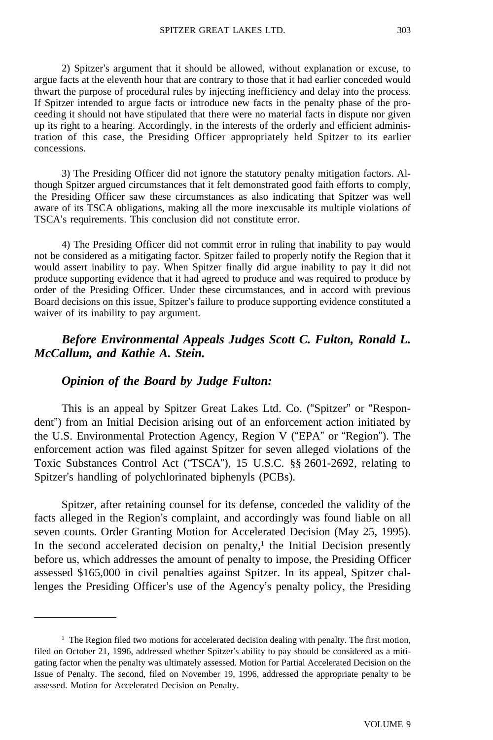2) Spitzer's argument that it should be allowed, without explanation or excuse, to argue facts at the eleventh hour that are contrary to those that it had earlier conceded would thwart the purpose of procedural rules by injecting inefficiency and delay into the process. If Spitzer intended to argue facts or introduce new facts in the penalty phase of the proceeding it should not have stipulated that there were no material facts in dispute nor given up its right to a hearing. Accordingly, in the interests of the orderly and efficient administration of this case, the Presiding Officer appropriately held Spitzer to its earlier concessions.

3) The Presiding Officer did not ignore the statutory penalty mitigation factors. Although Spitzer argued circumstances that it felt demonstrated good faith efforts to comply, the Presiding Officer saw these circumstances as also indicating that Spitzer was well aware of its TSCA obligations, making all the more inexcusable its multiple violations of TSCA's requirements. This conclusion did not constitute error.

4) The Presiding Officer did not commit error in ruling that inability to pay would not be considered as a mitigating factor. Spitzer failed to properly notify the Region that it would assert inability to pay. When Spitzer finally did argue inability to pay it did not produce supporting evidence that it had agreed to produce and was required to produce by order of the Presiding Officer. Under these circumstances, and in accord with previous Board decisions on this issue, Spitzer's failure to produce supporting evidence constituted a waiver of its inability to pay argument.

# *Before Environmental Appeals Judges Scott C. Fulton, Ronald L. McCallum, and Kathie A. Stein.*

## *Opinion of the Board by Judge Fulton:*

This is an appeal by Spitzer Great Lakes Ltd. Co. ("Spitzer" or "Respondent") from an Initial Decision arising out of an enforcement action initiated by the U.S. Environmental Protection Agency, Region V ("EPA" or "Region"). The enforcement action was filed against Spitzer for seven alleged violations of the Toxic Substances Control Act ("TSCA"), 15 U.S.C. §§ 2601-2692, relating to Spitzer's handling of polychlorinated biphenyls (PCBs).

Spitzer, after retaining counsel for its defense, conceded the validity of the facts alleged in the Region's complaint, and accordingly was found liable on all seven counts. Order Granting Motion for Accelerated Decision (May 25, 1995). In the second accelerated decision on penalty, $\frac{1}{1}$  the Initial Decision presently before us, which addresses the amount of penalty to impose, the Presiding Officer assessed \$165,000 in civil penalties against Spitzer. In its appeal, Spitzer challenges the Presiding Officer's use of the Agency's penalty policy, the Presiding

<sup>&</sup>lt;sup>1</sup> The Region filed two motions for accelerated decision dealing with penalty. The first motion, filed on October 21, 1996, addressed whether Spitzer's ability to pay should be considered as a mitigating factor when the penalty was ultimately assessed. Motion for Partial Accelerated Decision on the Issue of Penalty. The second, filed on November 19, 1996, addressed the appropriate penalty to be assessed. Motion for Accelerated Decision on Penalty.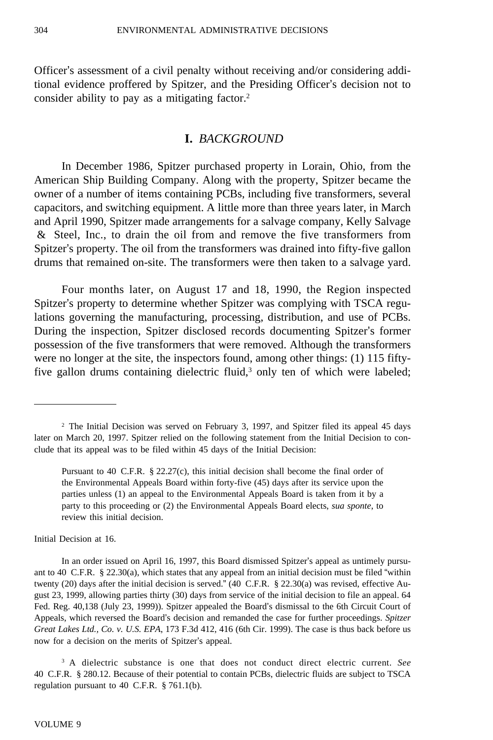Officer's assessment of a civil penalty without receiving and/or considering additional evidence proffered by Spitzer, and the Presiding Officer's decision not to consider ability to pay as a mitigating factor.<sup>2</sup>

## **I.** *BACKGROUND*

In December 1986, Spitzer purchased property in Lorain, Ohio, from the American Ship Building Company. Along with the property, Spitzer became the owner of a number of items containing PCBs, including five transformers, several capacitors, and switching equipment. A little more than three years later, in March and April 1990, Spitzer made arrangements for a salvage company, Kelly Salvage & Steel, Inc., to drain the oil from and remove the five transformers from Spitzer's property. The oil from the transformers was drained into fifty-five gallon drums that remained on-site. The transformers were then taken to a salvage yard.

Four months later, on August 17 and 18, 1990, the Region inspected Spitzer's property to determine whether Spitzer was complying with TSCA regulations governing the manufacturing, processing, distribution, and use of PCBs. During the inspection, Spitzer disclosed records documenting Spitzer's former possession of the five transformers that were removed. Although the transformers were no longer at the site, the inspectors found, among other things: (1) 115 fiftyfive gallon drums containing dielectric fluid, $3$  only ten of which were labeled;

Initial Decision at 16.

<sup>2</sup> The Initial Decision was served on February 3, 1997, and Spitzer filed its appeal 45 days later on March 20, 1997. Spitzer relied on the following statement from the Initial Decision to conclude that its appeal was to be filed within 45 days of the Initial Decision:

Pursuant to 40 C.F.R.  $\S 22.27(c)$ , this initial decision shall become the final order of the Environmental Appeals Board within forty-five (45) days after its service upon the parties unless (1) an appeal to the Environmental Appeals Board is taken from it by a party to this proceeding or (2) the Environmental Appeals Board elects, *sua sponte*, to review this initial decision.

In an order issued on April 16, 1997, this Board dismissed Spitzer's appeal as untimely pursuant to 40 C.F.R. § 22.30(a), which states that any appeal from an initial decision must be filed "within twenty (20) days after the initial decision is served." (40 C.F.R. § 22.30(a) was revised, effective August 23, 1999, allowing parties thirty (30) days from service of the initial decision to file an appeal. 64 Fed. Reg. 40,138 (July 23, 1999)). Spitzer appealed the Board's dismissal to the 6th Circuit Court of Appeals, which reversed the Board's decision and remanded the case for further proceedings. *Spitzer Great Lakes Ltd., Co. v. U.S. EPA*, 173 F.3d 412, 416 (6th Cir. 1999). The case is thus back before us now for a decision on the merits of Spitzer's appeal.

<sup>3</sup> A dielectric substance is one that does not conduct direct electric current. *See* 40 C.F.R. § 280.12. Because of their potential to contain PCBs, dielectric fluids are subject to TSCA regulation pursuant to 40 C.F.R. § 761.1(b).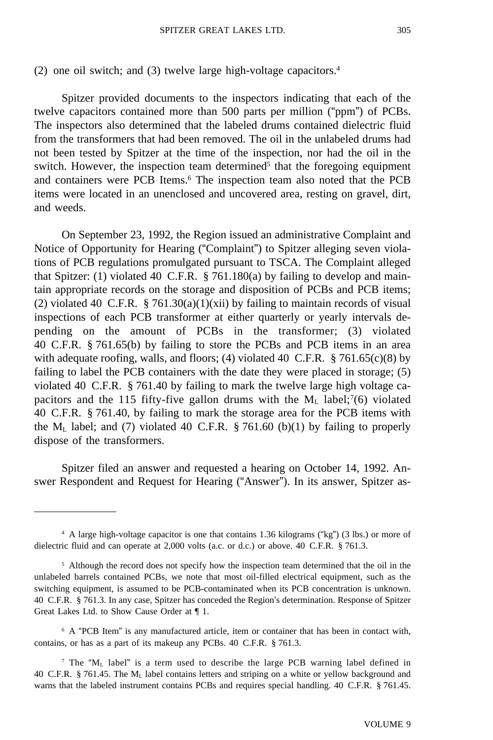(2) one oil switch; and (3) twelve large high-voltage capacitors.4

Spitzer provided documents to the inspectors indicating that each of the twelve capacitors contained more than 500 parts per million ("ppm") of PCBs. The inspectors also determined that the labeled drums contained dielectric fluid from the transformers that had been removed. The oil in the unlabeled drums had not been tested by Spitzer at the time of the inspection, nor had the oil in the switch. However, the inspection team determined<sup>5</sup> that the foregoing equipment and containers were PCB Items.6 The inspection team also noted that the PCB items were located in an unenclosed and uncovered area, resting on gravel, dirt, and weeds.

On September 23, 1992, the Region issued an administrative Complaint and Notice of Opportunity for Hearing ("Complaint") to Spitzer alleging seven violations of PCB regulations promulgated pursuant to TSCA. The Complaint alleged that Spitzer: (1) violated 40 C.F.R. § 761.180(a) by failing to develop and maintain appropriate records on the storage and disposition of PCBs and PCB items; (2) violated 40 C.F.R. § 761.30(a)(1)(xii) by failing to maintain records of visual inspections of each PCB transformer at either quarterly or yearly intervals depending on the amount of PCBs in the transformer; (3) violated 40 C.F.R. § 761.65(b) by failing to store the PCBs and PCB items in an area with adequate roofing, walls, and floors; (4) violated 40 C.F.R. § 761.65(c)(8) by failing to label the PCB containers with the date they were placed in storage; (5) violated 40 C.F.R. § 761.40 by failing to mark the twelve large high voltage capacitors and the 115 fifty-five gallon drums with the  $M_L$  label;<sup>7</sup>(6) violated 40 C.F.R. § 761.40, by failing to mark the storage area for the PCB items with the  $M_L$  label; and (7) violated 40 C.F.R. § 761.60 (b)(1) by failing to properly dispose of the transformers.

Spitzer filed an answer and requested a hearing on October 14, 1992. Answer Respondent and Request for Hearing ("Answer"). In its answer, Spitzer as-

<sup>4</sup> A large high-voltage capacitor is one that contains 1.36 kilograms ("kg") (3 lbs.) or more of dielectric fluid and can operate at 2,000 volts (a.c. or d.c.) or above. 40 C.F.R. § 761.3.

<sup>&</sup>lt;sup>5</sup> Although the record does not specify how the inspection team determined that the oil in the unlabeled barrels contained PCBs, we note that most oil-filled electrical equipment, such as the switching equipment, is assumed to be PCB-contaminated when its PCB concentration is unknown. 40 C.F.R. § 761.3. In any case, Spitzer has conceded the Region's determination. Response of Spitzer Great Lakes Ltd. to Show Cause Order at ¶ 1.

<sup>6</sup> A "PCB Item" is any manufactured article, item or container that has been in contact with, contains, or has as a part of its makeup any PCBs. 40 C.F.R. § 761.3.

<sup>&</sup>lt;sup>7</sup> The "M<sub>L</sub> label" is a term used to describe the large PCB warning label defined in 40 C.F.R. § 761.45. The ML label contains letters and striping on a white or yellow background and warns that the labeled instrument contains PCBs and requires special handling. 40 C.F.R. § 761.45.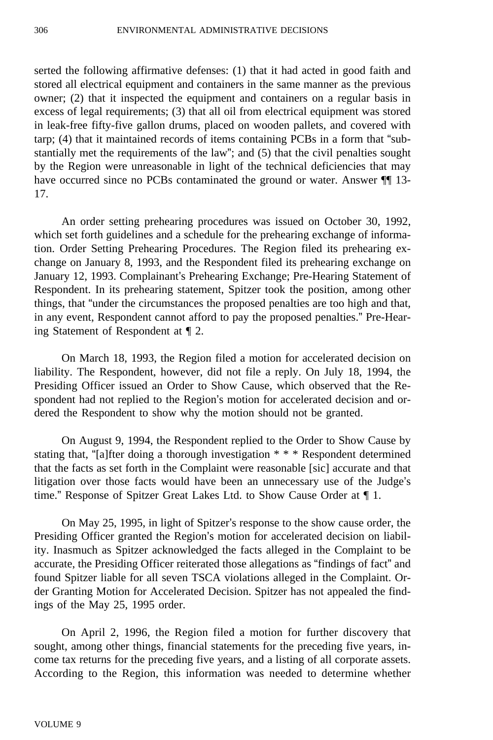serted the following affirmative defenses: (1) that it had acted in good faith and stored all electrical equipment and containers in the same manner as the previous owner; (2) that it inspected the equipment and containers on a regular basis in excess of legal requirements; (3) that all oil from electrical equipment was stored in leak-free fifty-five gallon drums, placed on wooden pallets, and covered with tarp; (4) that it maintained records of items containing PCBs in a form that "substantially met the requirements of the law"; and (5) that the civil penalties sought by the Region were unreasonable in light of the technical deficiencies that may have occurred since no PCBs contaminated the ground or water. Answer  $\P$  13-17.

An order setting prehearing procedures was issued on October 30, 1992, which set forth guidelines and a schedule for the prehearing exchange of information. Order Setting Prehearing Procedures. The Region filed its prehearing exchange on January 8, 1993, and the Respondent filed its prehearing exchange on January 12, 1993. Complainant's Prehearing Exchange; Pre-Hearing Statement of Respondent. In its prehearing statement, Spitzer took the position, among other things, that "under the circumstances the proposed penalties are too high and that, in any event, Respondent cannot afford to pay the proposed penalties." Pre-Hearing Statement of Respondent at ¶ 2.

On March 18, 1993, the Region filed a motion for accelerated decision on liability. The Respondent, however, did not file a reply. On July 18, 1994, the Presiding Officer issued an Order to Show Cause, which observed that the Respondent had not replied to the Region's motion for accelerated decision and ordered the Respondent to show why the motion should not be granted.

On August 9, 1994, the Respondent replied to the Order to Show Cause by stating that, "[a]fter doing a thorough investigation \* \* \* Respondent determined that the facts as set forth in the Complaint were reasonable [sic] accurate and that litigation over those facts would have been an unnecessary use of the Judge's time." Response of Spitzer Great Lakes Ltd. to Show Cause Order at ¶ 1.

On May 25, 1995, in light of Spitzer's response to the show cause order, the Presiding Officer granted the Region's motion for accelerated decision on liability. Inasmuch as Spitzer acknowledged the facts alleged in the Complaint to be accurate, the Presiding Officer reiterated those allegations as "findings of fact" and found Spitzer liable for all seven TSCA violations alleged in the Complaint. Order Granting Motion for Accelerated Decision. Spitzer has not appealed the findings of the May 25, 1995 order.

On April 2, 1996, the Region filed a motion for further discovery that sought, among other things, financial statements for the preceding five years, income tax returns for the preceding five years, and a listing of all corporate assets. According to the Region, this information was needed to determine whether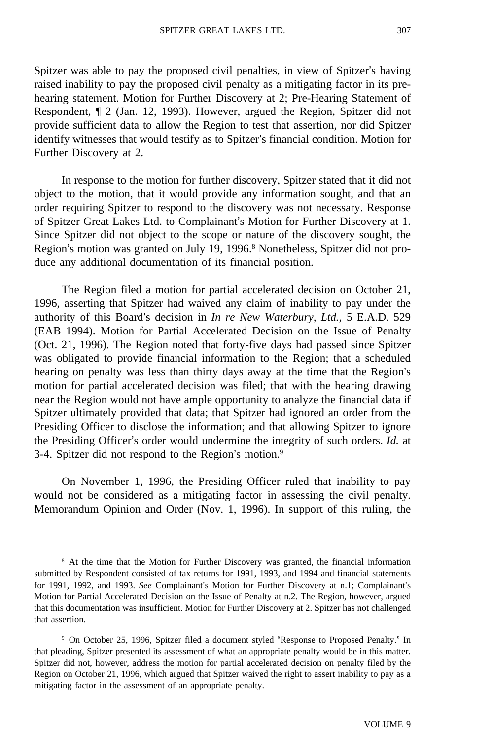Spitzer was able to pay the proposed civil penalties, in view of Spitzer's having raised inability to pay the proposed civil penalty as a mitigating factor in its prehearing statement. Motion for Further Discovery at 2; Pre-Hearing Statement of Respondent, ¶ 2 (Jan. 12, 1993). However, argued the Region, Spitzer did not provide sufficient data to allow the Region to test that assertion, nor did Spitzer identify witnesses that would testify as to Spitzer's financial condition. Motion for Further Discovery at 2.

In response to the motion for further discovery, Spitzer stated that it did not object to the motion, that it would provide any information sought, and that an order requiring Spitzer to respond to the discovery was not necessary. Response of Spitzer Great Lakes Ltd. to Complainant's Motion for Further Discovery at 1. Since Spitzer did not object to the scope or nature of the discovery sought, the Region's motion was granted on July 19, 1996.8 Nonetheless, Spitzer did not produce any additional documentation of its financial position.

The Region filed a motion for partial accelerated decision on October 21, 1996, asserting that Spitzer had waived any claim of inability to pay under the authority of this Board's decision in *In re New Waterbury, Ltd.*, 5 E.A.D. 529 (EAB 1994). Motion for Partial Accelerated Decision on the Issue of Penalty (Oct. 21, 1996). The Region noted that forty-five days had passed since Spitzer was obligated to provide financial information to the Region; that a scheduled hearing on penalty was less than thirty days away at the time that the Region's motion for partial accelerated decision was filed; that with the hearing drawing near the Region would not have ample opportunity to analyze the financial data if Spitzer ultimately provided that data; that Spitzer had ignored an order from the Presiding Officer to disclose the information; and that allowing Spitzer to ignore the Presiding Officer's order would undermine the integrity of such orders. *Id.* at 3-4. Spitzer did not respond to the Region's motion.9

On November 1, 1996, the Presiding Officer ruled that inability to pay would not be considered as a mitigating factor in assessing the civil penalty. Memorandum Opinion and Order (Nov. 1, 1996). In support of this ruling, the

<sup>8</sup> At the time that the Motion for Further Discovery was granted, the financial information submitted by Respondent consisted of tax returns for 1991, 1993, and 1994 and financial statements for 1991, 1992, and 1993. *See* Complainant's Motion for Further Discovery at n.1; Complainant's Motion for Partial Accelerated Decision on the Issue of Penalty at n.2. The Region, however, argued that this documentation was insufficient. Motion for Further Discovery at 2. Spitzer has not challenged that assertion.

<sup>9</sup> On October 25, 1996, Spitzer filed a document styled "Response to Proposed Penalty." In that pleading, Spitzer presented its assessment of what an appropriate penalty would be in this matter. Spitzer did not, however, address the motion for partial accelerated decision on penalty filed by the Region on October 21, 1996, which argued that Spitzer waived the right to assert inability to pay as a mitigating factor in the assessment of an appropriate penalty.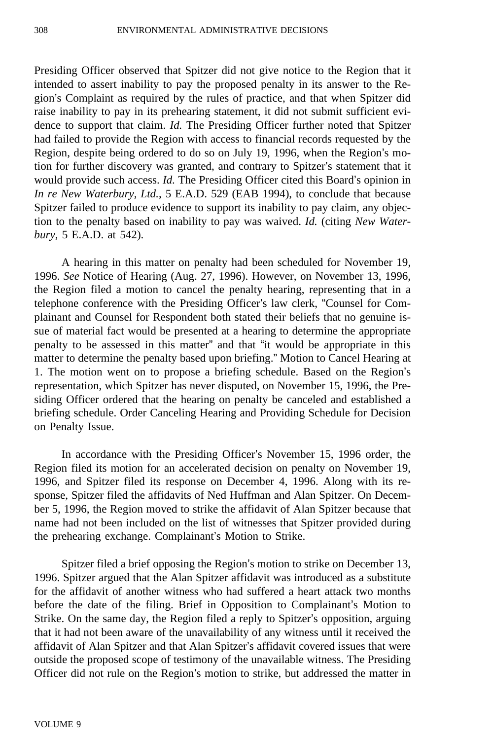Presiding Officer observed that Spitzer did not give notice to the Region that it intended to assert inability to pay the proposed penalty in its answer to the Region's Complaint as required by the rules of practice, and that when Spitzer did raise inability to pay in its prehearing statement, it did not submit sufficient evidence to support that claim. *Id.* The Presiding Officer further noted that Spitzer had failed to provide the Region with access to financial records requested by the Region, despite being ordered to do so on July 19, 1996, when the Region's motion for further discovery was granted, and contrary to Spitzer's statement that it would provide such access. *Id.* The Presiding Officer cited this Board's opinion in *In re New Waterbury, Ltd.*, 5 E.A.D. 529 (EAB 1994), to conclude that because Spitzer failed to produce evidence to support its inability to pay claim, any objection to the penalty based on inability to pay was waived. *Id.* (citing *New Waterbury*, 5 E.A.D. at 542).

A hearing in this matter on penalty had been scheduled for November 19, 1996. *See* Notice of Hearing (Aug. 27, 1996). However, on November 13, 1996, the Region filed a motion to cancel the penalty hearing, representing that in a telephone conference with the Presiding Officer's law clerk, "Counsel for Complainant and Counsel for Respondent both stated their beliefs that no genuine issue of material fact would be presented at a hearing to determine the appropriate penalty to be assessed in this matter" and that "it would be appropriate in this matter to determine the penalty based upon briefing." Motion to Cancel Hearing at 1. The motion went on to propose a briefing schedule. Based on the Region's representation, which Spitzer has never disputed, on November 15, 1996, the Presiding Officer ordered that the hearing on penalty be canceled and established a briefing schedule. Order Canceling Hearing and Providing Schedule for Decision on Penalty Issue.

In accordance with the Presiding Officer's November 15, 1996 order, the Region filed its motion for an accelerated decision on penalty on November 19, 1996, and Spitzer filed its response on December 4, 1996. Along with its response, Spitzer filed the affidavits of Ned Huffman and Alan Spitzer. On December 5, 1996, the Region moved to strike the affidavit of Alan Spitzer because that name had not been included on the list of witnesses that Spitzer provided during the prehearing exchange. Complainant's Motion to Strike.

Spitzer filed a brief opposing the Region's motion to strike on December 13, 1996. Spitzer argued that the Alan Spitzer affidavit was introduced as a substitute for the affidavit of another witness who had suffered a heart attack two months before the date of the filing. Brief in Opposition to Complainant's Motion to Strike. On the same day, the Region filed a reply to Spitzer's opposition, arguing that it had not been aware of the unavailability of any witness until it received the affidavit of Alan Spitzer and that Alan Spitzer's affidavit covered issues that were outside the proposed scope of testimony of the unavailable witness. The Presiding Officer did not rule on the Region's motion to strike, but addressed the matter in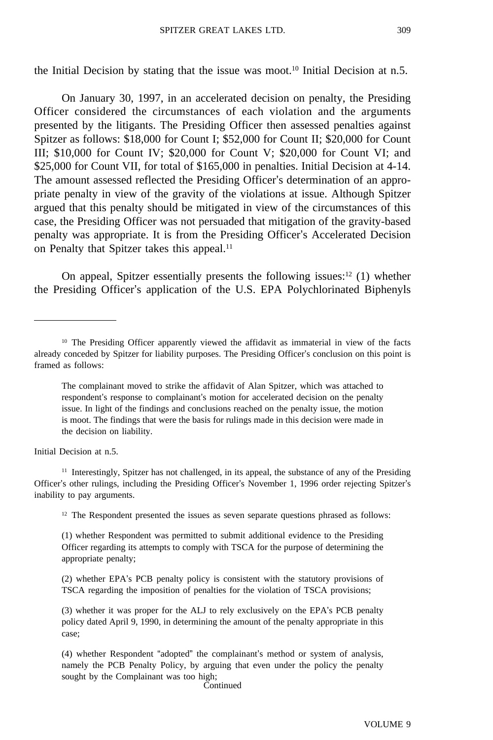the Initial Decision by stating that the issue was moot.<sup>10</sup> Initial Decision at n.5.

On January 30, 1997, in an accelerated decision on penalty, the Presiding Officer considered the circumstances of each violation and the arguments presented by the litigants. The Presiding Officer then assessed penalties against Spitzer as follows: \$18,000 for Count I; \$52,000 for Count II; \$20,000 for Count III; \$10,000 for Count IV; \$20,000 for Count V; \$20,000 for Count VI; and \$25,000 for Count VII, for total of \$165,000 in penalties. Initial Decision at 4-14. The amount assessed reflected the Presiding Officer's determination of an appropriate penalty in view of the gravity of the violations at issue. Although Spitzer argued that this penalty should be mitigated in view of the circumstances of this case, the Presiding Officer was not persuaded that mitigation of the gravity-based penalty was appropriate. It is from the Presiding Officer's Accelerated Decision on Penalty that Spitzer takes this appeal.<sup>11</sup>

On appeal, Spitzer essentially presents the following issues: $12$  (1) whether the Presiding Officer's application of the U.S. EPA Polychlorinated Biphenyls

Initial Decision at n.5.

<sup>11</sup> Interestingly, Spitzer has not challenged, in its appeal, the substance of any of the Presiding Officer's other rulings, including the Presiding Officer's November 1, 1996 order rejecting Spitzer's inability to pay arguments.

 $12$  The Respondent presented the issues as seven separate questions phrased as follows:

(1) whether Respondent was permitted to submit additional evidence to the Presiding Officer regarding its attempts to comply with TSCA for the purpose of determining the appropriate penalty;

(2) whether EPA's PCB penalty policy is consistent with the statutory provisions of TSCA regarding the imposition of penalties for the violation of TSCA provisions;

(3) whether it was proper for the ALJ to rely exclusively on the EPA's PCB penalty policy dated April 9, 1990, in determining the amount of the penalty appropriate in this case;

(4) whether Respondent "adopted" the complainant's method or system of analysis, namely the PCB Penalty Policy, by arguing that even under the policy the penalty sought by the Complainant was too high;

Continued

<sup>&</sup>lt;sup>10</sup> The Presiding Officer apparently viewed the affidavit as immaterial in view of the facts already conceded by Spitzer for liability purposes. The Presiding Officer's conclusion on this point is framed as follows:

The complainant moved to strike the affidavit of Alan Spitzer, which was attached to respondent's response to complainant's motion for accelerated decision on the penalty issue. In light of the findings and conclusions reached on the penalty issue, the motion is moot. The findings that were the basis for rulings made in this decision were made in the decision on liability.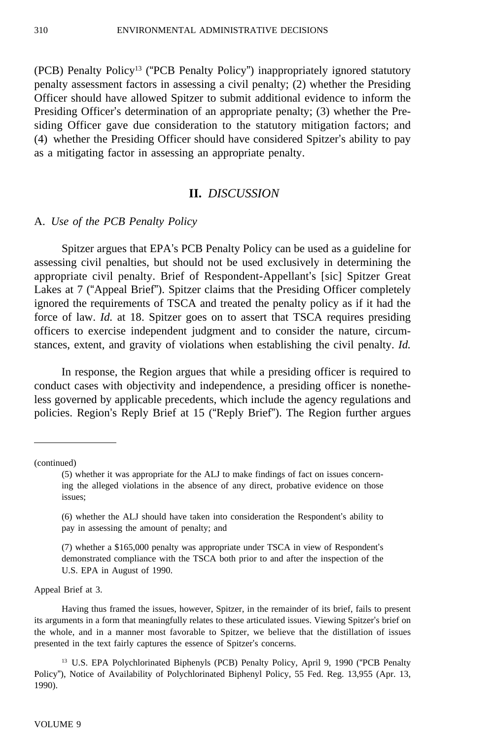(PCB) Penalty Policy13 ("PCB Penalty Policy") inappropriately ignored statutory penalty assessment factors in assessing a civil penalty; (2) whether the Presiding Officer should have allowed Spitzer to submit additional evidence to inform the Presiding Officer's determination of an appropriate penalty; (3) whether the Presiding Officer gave due consideration to the statutory mitigation factors; and (4) whether the Presiding Officer should have considered Spitzer's ability to pay as a mitigating factor in assessing an appropriate penalty.

## **II.** *DISCUSSION*

#### A. *Use of the PCB Penalty Policy*

Spitzer argues that EPA's PCB Penalty Policy can be used as a guideline for assessing civil penalties, but should not be used exclusively in determining the appropriate civil penalty. Brief of Respondent-Appellant's [sic] Spitzer Great Lakes at 7 ("Appeal Brief"). Spitzer claims that the Presiding Officer completely ignored the requirements of TSCA and treated the penalty policy as if it had the force of law. *Id.* at 18. Spitzer goes on to assert that TSCA requires presiding officers to exercise independent judgment and to consider the nature, circumstances, extent, and gravity of violations when establishing the civil penalty. *Id.*

In response, the Region argues that while a presiding officer is required to conduct cases with objectivity and independence, a presiding officer is nonetheless governed by applicable precedents, which include the agency regulations and policies. Region's Reply Brief at 15 ("Reply Brief"). The Region further argues

(continued)

Appeal Brief at 3.

Having thus framed the issues, however, Spitzer, in the remainder of its brief, fails to present its arguments in a form that meaningfully relates to these articulated issues. Viewing Spitzer's brief on the whole, and in a manner most favorable to Spitzer, we believe that the distillation of issues presented in the text fairly captures the essence of Spitzer's concerns.

<sup>13</sup> U.S. EPA Polychlorinated Biphenyls (PCB) Penalty Policy, April 9, 1990 ("PCB Penalty Policy"), Notice of Availability of Polychlorinated Biphenyl Policy, 55 Fed. Reg. 13,955 (Apr. 13, 1990).

<sup>(5)</sup> whether it was appropriate for the ALJ to make findings of fact on issues concerning the alleged violations in the absence of any direct, probative evidence on those issues;

<sup>(6)</sup> whether the ALJ should have taken into consideration the Respondent's ability to pay in assessing the amount of penalty; and

<sup>(7)</sup> whether a \$165,000 penalty was appropriate under TSCA in view of Respondent's demonstrated compliance with the TSCA both prior to and after the inspection of the U.S. EPA in August of 1990.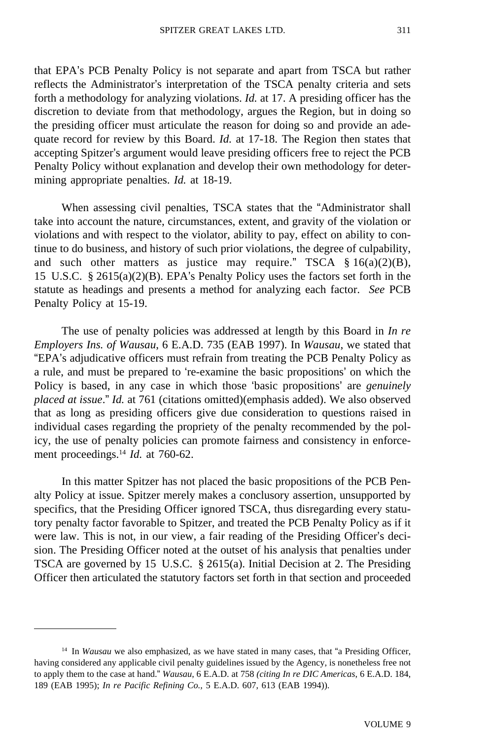that EPA's PCB Penalty Policy is not separate and apart from TSCA but rather reflects the Administrator's interpretation of the TSCA penalty criteria and sets forth a methodology for analyzing violations. *Id.* at 17. A presiding officer has the discretion to deviate from that methodology, argues the Region, but in doing so the presiding officer must articulate the reason for doing so and provide an adequate record for review by this Board. *Id.* at 17-18. The Region then states that accepting Spitzer's argument would leave presiding officers free to reject the PCB Penalty Policy without explanation and develop their own methodology for determining appropriate penalties. *Id.* at 18-19.

When assessing civil penalties, TSCA states that the "Administrator shall take into account the nature, circumstances, extent, and gravity of the violation or violations and with respect to the violator, ability to pay, effect on ability to continue to do business, and history of such prior violations, the degree of culpability, and such other matters as justice may require." TSCA  $\S$  16(a)(2)(B), 15 U.S.C. § 2615(a)(2)(B). EPA's Penalty Policy uses the factors set forth in the statute as headings and presents a method for analyzing each factor. *See* PCB Penalty Policy at 15-19.

The use of penalty policies was addressed at length by this Board in *In re Employers Ins. of Wausau*, 6 E.A.D. 735 (EAB 1997). In *Wausau*, we stated that "EPA's adjudicative officers must refrain from treating the PCB Penalty Policy as a rule, and must be prepared to 're-examine the basic propositions' on which the Policy is based, in any case in which those 'basic propositions' are *genuinely placed at issue*." *Id.* at 761 (citations omitted)(emphasis added). We also observed that as long as presiding officers give due consideration to questions raised in individual cases regarding the propriety of the penalty recommended by the policy, the use of penalty policies can promote fairness and consistency in enforcement proceedings.14 *Id.* at 760-62.

In this matter Spitzer has not placed the basic propositions of the PCB Penalty Policy at issue. Spitzer merely makes a conclusory assertion, unsupported by specifics, that the Presiding Officer ignored TSCA, thus disregarding every statutory penalty factor favorable to Spitzer, and treated the PCB Penalty Policy as if it were law. This is not, in our view, a fair reading of the Presiding Officer's decision. The Presiding Officer noted at the outset of his analysis that penalties under TSCA are governed by 15 U.S.C. § 2615(a). Initial Decision at 2. The Presiding Officer then articulated the statutory factors set forth in that section and proceeded

<sup>14</sup> In *Wausau* we also emphasized, as we have stated in many cases, that "a Presiding Officer, having considered any applicable civil penalty guidelines issued by the Agency, is nonetheless free not to apply them to the case at hand." *Wausau*, 6 E.A.D. at 758 *(citing In re DIC Americas*, 6 E.A.D. 184, 189 (EAB 1995); *In re Pacific Refining Co.,* 5 E.A.D. 607, 613 (EAB 1994)).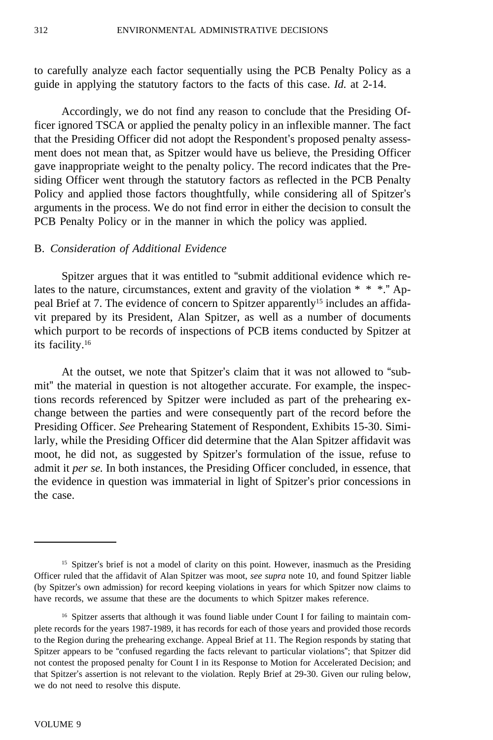to carefully analyze each factor sequentially using the PCB Penalty Policy as a guide in applying the statutory factors to the facts of this case. *Id.* at 2-14.

Accordingly, we do not find any reason to conclude that the Presiding Officer ignored TSCA or applied the penalty policy in an inflexible manner. The fact that the Presiding Officer did not adopt the Respondent's proposed penalty assessment does not mean that, as Spitzer would have us believe, the Presiding Officer gave inappropriate weight to the penalty policy. The record indicates that the Presiding Officer went through the statutory factors as reflected in the PCB Penalty Policy and applied those factors thoughtfully, while considering all of Spitzer's arguments in the process. We do not find error in either the decision to consult the PCB Penalty Policy or in the manner in which the policy was applied.

## B. *Consideration of Additional Evidence*

Spitzer argues that it was entitled to "submit additional evidence which relates to the nature, circumstances, extent and gravity of the violation \* \* \*." Appeal Brief at 7. The evidence of concern to Spitzer apparently15 includes an affidavit prepared by its President, Alan Spitzer, as well as a number of documents which purport to be records of inspections of PCB items conducted by Spitzer at its facility.16

At the outset, we note that Spitzer's claim that it was not allowed to "submit" the material in question is not altogether accurate. For example, the inspections records referenced by Spitzer were included as part of the prehearing exchange between the parties and were consequently part of the record before the Presiding Officer. *See* Prehearing Statement of Respondent, Exhibits 15-30. Similarly, while the Presiding Officer did determine that the Alan Spitzer affidavit was moot, he did not, as suggested by Spitzer's formulation of the issue, refuse to admit it *per se.* In both instances, the Presiding Officer concluded, in essence, that the evidence in question was immaterial in light of Spitzer's prior concessions in the case.

<sup>&</sup>lt;sup>15</sup> Spitzer's brief is not a model of clarity on this point. However, inasmuch as the Presiding Officer ruled that the affidavit of Alan Spitzer was moot, *see supra* note 10, and found Spitzer liable (by Spitzer's own admission) for record keeping violations in years for which Spitzer now claims to have records, we assume that these are the documents to which Spitzer makes reference.

<sup>&</sup>lt;sup>16</sup> Spitzer asserts that although it was found liable under Count I for failing to maintain complete records for the years 1987-1989, it has records for each of those years and provided those records to the Region during the prehearing exchange. Appeal Brief at 11. The Region responds by stating that Spitzer appears to be "confused regarding the facts relevant to particular violations"; that Spitzer did not contest the proposed penalty for Count I in its Response to Motion for Accelerated Decision; and that Spitzer's assertion is not relevant to the violation. Reply Brief at 29-30. Given our ruling below, we do not need to resolve this dispute.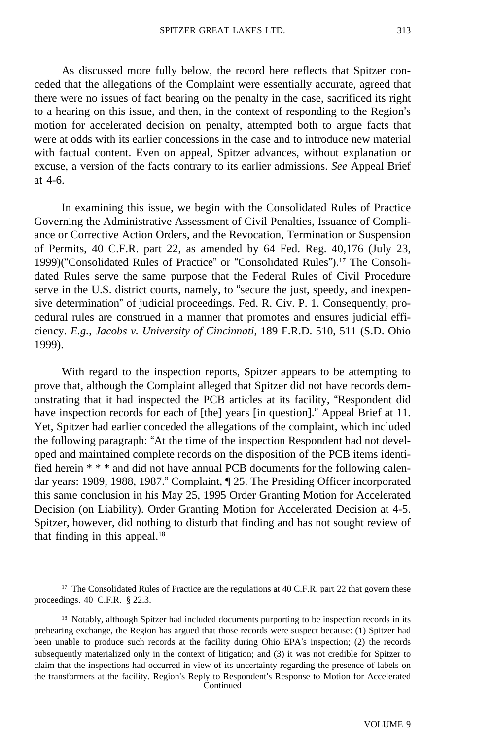As discussed more fully below, the record here reflects that Spitzer conceded that the allegations of the Complaint were essentially accurate, agreed that there were no issues of fact bearing on the penalty in the case, sacrificed its right to a hearing on this issue, and then, in the context of responding to the Region's motion for accelerated decision on penalty, attempted both to argue facts that were at odds with its earlier concessions in the case and to introduce new material with factual content. Even on appeal, Spitzer advances, without explanation or excuse, a version of the facts contrary to its earlier admissions. *See* Appeal Brief at 4-6.

In examining this issue, we begin with the Consolidated Rules of Practice Governing the Administrative Assessment of Civil Penalties, Issuance of Compliance or Corrective Action Orders, and the Revocation, Termination or Suspension of Permits, 40 C.F.R. part 22, as amended by 64 Fed. Reg. 40,176 (July 23, 1999)("Consolidated Rules of Practice" or "Consolidated Rules").17 The Consolidated Rules serve the same purpose that the Federal Rules of Civil Procedure serve in the U.S. district courts, namely, to "secure the just, speedy, and inexpensive determination" of judicial proceedings. Fed. R. Civ. P. 1. Consequently, procedural rules are construed in a manner that promotes and ensures judicial efficiency. *E.g.*, *Jacobs v. University of Cincinnati*, 189 F.R.D. 510, 511 (S.D. Ohio 1999).

With regard to the inspection reports, Spitzer appears to be attempting to prove that, although the Complaint alleged that Spitzer did not have records demonstrating that it had inspected the PCB articles at its facility, "Respondent did have inspection records for each of [the] years [in question]." Appeal Brief at 11. Yet, Spitzer had earlier conceded the allegations of the complaint, which included the following paragraph: "At the time of the inspection Respondent had not developed and maintained complete records on the disposition of the PCB items identified herein \* \* \* and did not have annual PCB documents for the following calendar years: 1989, 1988, 1987." Complaint, ¶ 25. The Presiding Officer incorporated this same conclusion in his May 25, 1995 Order Granting Motion for Accelerated Decision (on Liability). Order Granting Motion for Accelerated Decision at 4-5. Spitzer, however, did nothing to disturb that finding and has not sought review of that finding in this appeal.<sup>18</sup>

<sup>&</sup>lt;sup>17</sup> The Consolidated Rules of Practice are the regulations at 40 C.F.R. part 22 that govern these proceedings. 40 C.F.R. § 22.3.

<sup>&</sup>lt;sup>18</sup> Notably, although Spitzer had included documents purporting to be inspection records in its prehearing exchange, the Region has argued that those records were suspect because: (1) Spitzer had been unable to produce such records at the facility during Ohio EPA's inspection; (2) the records subsequently materialized only in the context of litigation; and (3) it was not credible for Spitzer to claim that the inspections had occurred in view of its uncertainty regarding the presence of labels on the transformers at the facility. Region's Reply to Respondent's Response to Motion for Accelerated **Continued**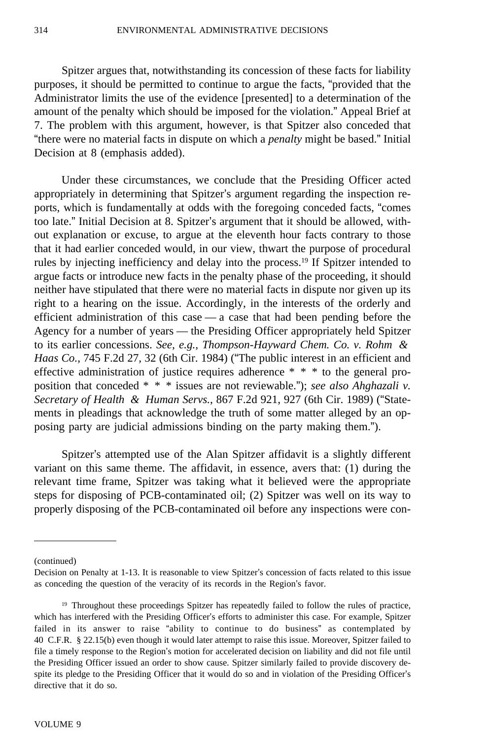Spitzer argues that, notwithstanding its concession of these facts for liability purposes, it should be permitted to continue to argue the facts, "provided that the Administrator limits the use of the evidence [presented] to a determination of the amount of the penalty which should be imposed for the violation." Appeal Brief at 7. The problem with this argument, however, is that Spitzer also conceded that "there were no material facts in dispute on which a *penalty* might be based." Initial Decision at 8 (emphasis added).

Under these circumstances, we conclude that the Presiding Officer acted appropriately in determining that Spitzer's argument regarding the inspection reports, which is fundamentally at odds with the foregoing conceded facts, "comes too late." Initial Decision at 8. Spitzer's argument that it should be allowed, without explanation or excuse, to argue at the eleventh hour facts contrary to those that it had earlier conceded would, in our view, thwart the purpose of procedural rules by injecting inefficiency and delay into the process.19 If Spitzer intended to argue facts or introduce new facts in the penalty phase of the proceeding, it should neither have stipulated that there were no material facts in dispute nor given up its right to a hearing on the issue. Accordingly, in the interests of the orderly and efficient administration of this case — a case that had been pending before the Agency for a number of years — the Presiding Officer appropriately held Spitzer to its earlier concessions. *See, e.g., Thompson-Hayward Chem. Co. v. Rohm & Haas Co.*, 745 F.2d 27, 32 (6th Cir. 1984) ("The public interest in an efficient and effective administration of justice requires adherence \* \* \* to the general proposition that conceded \* \* \* issues are not reviewable."); *see also Ahghazali v. Secretary of Health & Human Servs.*, 867 F.2d 921, 927 (6th Cir. 1989) ("Statements in pleadings that acknowledge the truth of some matter alleged by an opposing party are judicial admissions binding on the party making them.").

Spitzer's attempted use of the Alan Spitzer affidavit is a slightly different variant on this same theme. The affidavit, in essence, avers that: (1) during the relevant time frame, Spitzer was taking what it believed were the appropriate steps for disposing of PCB-contaminated oil; (2) Spitzer was well on its way to properly disposing of the PCB-contaminated oil before any inspections were con-

(continued)

Decision on Penalty at 1-13. It is reasonable to view Spitzer's concession of facts related to this issue as conceding the question of the veracity of its records in the Region's favor.

<sup>&</sup>lt;sup>19</sup> Throughout these proceedings Spitzer has repeatedly failed to follow the rules of practice, which has interfered with the Presiding Officer's efforts to administer this case. For example, Spitzer failed in its answer to raise "ability to continue to do business" as contemplated by 40 C.F.R. § 22.15(b) even though it would later attempt to raise this issue. Moreover, Spitzer failed to file a timely response to the Region's motion for accelerated decision on liability and did not file until the Presiding Officer issued an order to show cause. Spitzer similarly failed to provide discovery despite its pledge to the Presiding Officer that it would do so and in violation of the Presiding Officer's directive that it do so.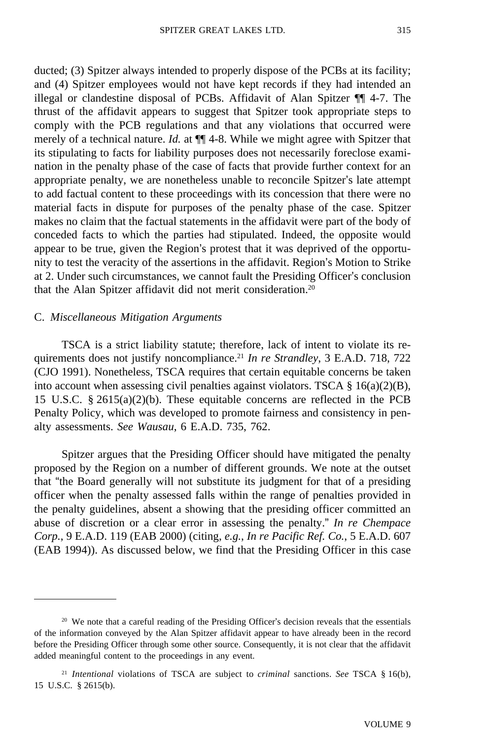ducted; (3) Spitzer always intended to properly dispose of the PCBs at its facility; and (4) Spitzer employees would not have kept records if they had intended an illegal or clandestine disposal of PCBs. Affidavit of Alan Spitzer ¶¶ 4-7. The thrust of the affidavit appears to suggest that Spitzer took appropriate steps to comply with the PCB regulations and that any violations that occurred were merely of a technical nature. *Id.* at ¶¶ 4-8. While we might agree with Spitzer that its stipulating to facts for liability purposes does not necessarily foreclose examination in the penalty phase of the case of facts that provide further context for an appropriate penalty, we are nonetheless unable to reconcile Spitzer's late attempt to add factual content to these proceedings with its concession that there were no material facts in dispute for purposes of the penalty phase of the case. Spitzer makes no claim that the factual statements in the affidavit were part of the body of conceded facts to which the parties had stipulated. Indeed, the opposite would appear to be true, given the Region's protest that it was deprived of the opportunity to test the veracity of the assertions in the affidavit. Region's Motion to Strike at 2. Under such circumstances, we cannot fault the Presiding Officer's conclusion that the Alan Spitzer affidavit did not merit consideration.20

#### C. *Miscellaneous Mitigation Arguments*

TSCA is a strict liability statute; therefore, lack of intent to violate its requirements does not justify noncompliance.21 *In re Strandley*, 3 E.A.D. 718, 722 (CJO 1991). Nonetheless, TSCA requires that certain equitable concerns be taken into account when assessing civil penalties against violators. TSCA § 16(a)(2)(B), 15 U.S.C. § 2615(a)(2)(b). These equitable concerns are reflected in the PCB Penalty Policy, which was developed to promote fairness and consistency in penalty assessments. *See Wausau*, 6 E.A.D. 735, 762.

Spitzer argues that the Presiding Officer should have mitigated the penalty proposed by the Region on a number of different grounds. We note at the outset that "the Board generally will not substitute its judgment for that of a presiding officer when the penalty assessed falls within the range of penalties provided in the penalty guidelines, absent a showing that the presiding officer committed an abuse of discretion or a clear error in assessing the penalty." *In re Chempace Corp.*, 9 E.A.D. 119 (EAB 2000) (citing, *e.g.*, *In re Pacific Ref. Co.*, 5 E.A.D. 607 (EAB 1994)). As discussed below, we find that the Presiding Officer in this case

<sup>&</sup>lt;sup>20</sup> We note that a careful reading of the Presiding Officer's decision reveals that the essentials of the information conveyed by the Alan Spitzer affidavit appear to have already been in the record before the Presiding Officer through some other source. Consequently, it is not clear that the affidavit added meaningful content to the proceedings in any event.

<sup>21</sup> *Intentional* violations of TSCA are subject to *criminal* sanctions. *See* TSCA § 16(b), 15 U.S.C. § 2615(b).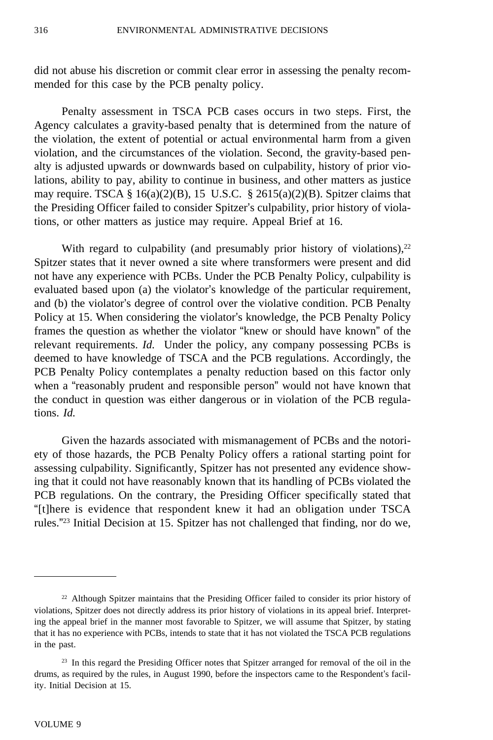did not abuse his discretion or commit clear error in assessing the penalty recommended for this case by the PCB penalty policy.

Penalty assessment in TSCA PCB cases occurs in two steps. First, the Agency calculates a gravity-based penalty that is determined from the nature of the violation, the extent of potential or actual environmental harm from a given violation, and the circumstances of the violation. Second, the gravity-based penalty is adjusted upwards or downwards based on culpability, history of prior violations, ability to pay, ability to continue in business, and other matters as justice may require. TSCA § 16(a)(2)(B), 15 U.S.C. § 2615(a)(2)(B). Spitzer claims that the Presiding Officer failed to consider Spitzer's culpability, prior history of violations, or other matters as justice may require. Appeal Brief at 16.

With regard to culpability (and presumably prior history of violations), $22$ Spitzer states that it never owned a site where transformers were present and did not have any experience with PCBs. Under the PCB Penalty Policy, culpability is evaluated based upon (a) the violator's knowledge of the particular requirement, and (b) the violator's degree of control over the violative condition. PCB Penalty Policy at 15. When considering the violator's knowledge, the PCB Penalty Policy frames the question as whether the violator "knew or should have known" of the relevant requirements. *Id.* Under the policy, any company possessing PCBs is deemed to have knowledge of TSCA and the PCB regulations. Accordingly, the PCB Penalty Policy contemplates a penalty reduction based on this factor only when a "reasonably prudent and responsible person" would not have known that the conduct in question was either dangerous or in violation of the PCB regulations. *Id.*

Given the hazards associated with mismanagement of PCBs and the notoriety of those hazards, the PCB Penalty Policy offers a rational starting point for assessing culpability. Significantly, Spitzer has not presented any evidence showing that it could not have reasonably known that its handling of PCBs violated the PCB regulations. On the contrary, the Presiding Officer specifically stated that "[t]here is evidence that respondent knew it had an obligation under TSCA rules."23 Initial Decision at 15. Spitzer has not challenged that finding, nor do we,

<sup>22</sup> Although Spitzer maintains that the Presiding Officer failed to consider its prior history of violations, Spitzer does not directly address its prior history of violations in its appeal brief. Interpreting the appeal brief in the manner most favorable to Spitzer, we will assume that Spitzer, by stating that it has no experience with PCBs, intends to state that it has not violated the TSCA PCB regulations in the past.

<sup>&</sup>lt;sup>23</sup> In this regard the Presiding Officer notes that Spitzer arranged for removal of the oil in the drums, as required by the rules, in August 1990, before the inspectors came to the Respondent's facility. Initial Decision at 15.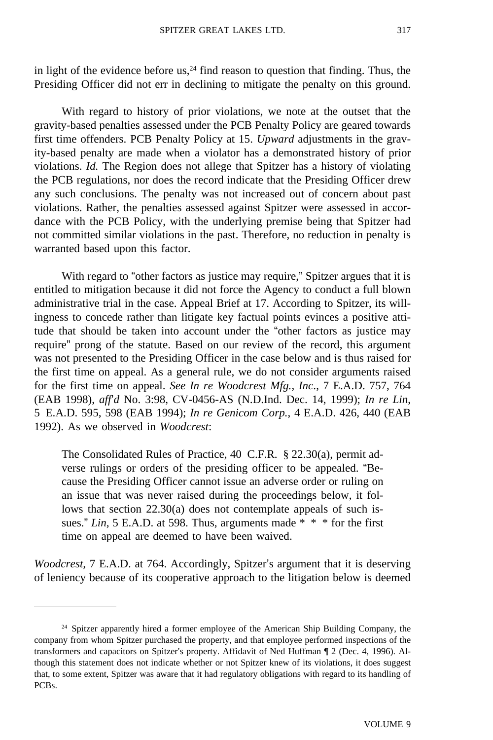in light of the evidence before us, $^{24}$  find reason to question that finding. Thus, the Presiding Officer did not err in declining to mitigate the penalty on this ground.

With regard to history of prior violations, we note at the outset that the gravity-based penalties assessed under the PCB Penalty Policy are geared towards first time offenders. PCB Penalty Policy at 15. *Upward* adjustments in the gravity-based penalty are made when a violator has a demonstrated history of prior violations. *Id.* The Region does not allege that Spitzer has a history of violating the PCB regulations, nor does the record indicate that the Presiding Officer drew any such conclusions. The penalty was not increased out of concern about past violations. Rather, the penalties assessed against Spitzer were assessed in accordance with the PCB Policy, with the underlying premise being that Spitzer had not committed similar violations in the past. Therefore, no reduction in penalty is warranted based upon this factor.

With regard to "other factors as justice may require," Spitzer argues that it is entitled to mitigation because it did not force the Agency to conduct a full blown administrative trial in the case. Appeal Brief at 17. According to Spitzer, its willingness to concede rather than litigate key factual points evinces a positive attitude that should be taken into account under the "other factors as justice may require" prong of the statute. Based on our review of the record, this argument was not presented to the Presiding Officer in the case below and is thus raised for the first time on appeal. As a general rule, we do not consider arguments raised for the first time on appeal. *See In re Woodcrest Mfg., Inc*., 7 E.A.D. 757, 764 (EAB 1998), *aff*'*d* No. 3:98, CV-0456-AS (N.D.Ind. Dec. 14, 1999); *In re Lin*, 5 E.A.D. 595, 598 (EAB 1994); *In re Genicom Corp.*, 4 E.A.D. 426, 440 (EAB 1992). As we observed in *Woodcrest*:

The Consolidated Rules of Practice, 40 C.F.R. § 22.30(a), permit adverse rulings or orders of the presiding officer to be appealed. "Because the Presiding Officer cannot issue an adverse order or ruling on an issue that was never raised during the proceedings below, it follows that section 22.30(a) does not contemplate appeals of such issues." *Lin*, 5 E.A.D. at 598. Thus, arguments made \* \* \* for the first time on appeal are deemed to have been waived.

*Woodcrest,* 7 E.A.D. at 764. Accordingly, Spitzer's argument that it is deserving of leniency because of its cooperative approach to the litigation below is deemed

 $24$  Spitzer apparently hired a former employee of the American Ship Building Company, the company from whom Spitzer purchased the property, and that employee performed inspections of the transformers and capacitors on Spitzer's property. Affidavit of Ned Huffman ¶ 2 (Dec. 4, 1996). Although this statement does not indicate whether or not Spitzer knew of its violations, it does suggest that, to some extent, Spitzer was aware that it had regulatory obligations with regard to its handling of PCBs.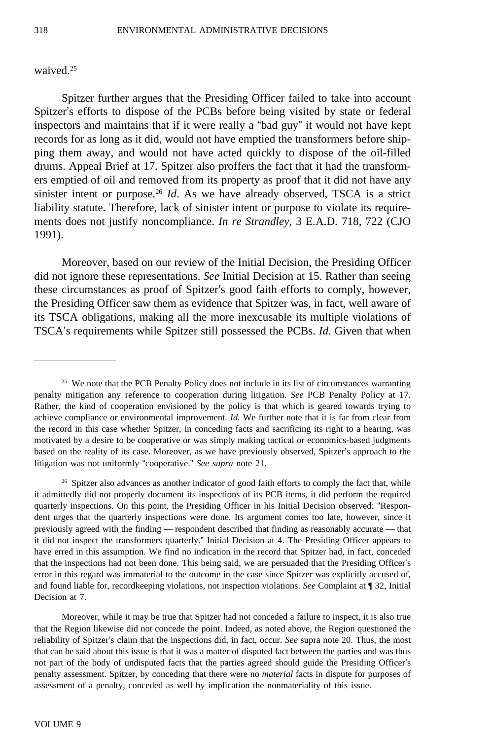### waived.<sup>25</sup>

Spitzer further argues that the Presiding Officer failed to take into account Spitzer's efforts to dispose of the PCBs before being visited by state or federal inspectors and maintains that if it were really a "bad guy" it would not have kept records for as long as it did, would not have emptied the transformers before shipping them away, and would not have acted quickly to dispose of the oil-filled drums. Appeal Brief at 17. Spitzer also proffers the fact that it had the transformers emptied of oil and removed from its property as proof that it did not have any sinister intent or purpose.26 *Id*. As we have already observed, TSCA is a strict liability statute. Therefore, lack of sinister intent or purpose to violate its requirements does not justify noncompliance. *In re Strandley*, 3 E.A.D. 718, 722 (CJO 1991).

Moreover, based on our review of the Initial Decision, the Presiding Officer did not ignore these representations. *See* Initial Decision at 15. Rather than seeing these circumstances as proof of Spitzer's good faith efforts to comply, however, the Presiding Officer saw them as evidence that Spitzer was, in fact, well aware of its TSCA obligations, making all the more inexcusable its multiple violations of TSCA's requirements while Spitzer still possessed the PCBs. *Id*. Given that when

Moreover, while it may be true that Spitzer had not conceded a failure to inspect, it is also true that the Region likewise did not concede the point. Indeed, as noted above, the Region questioned the reliability of Spitzer's claim that the inspections did, in fact, occur. *See* supra note 20. Thus, the most that can be said about this issue is that it was a matter of disputed fact between the parties and was thus not part of the body of undisputed facts that the parties agreed should guide the Presiding Officer's penalty assessment. Spitzer, by conceding that there were no *material* facts in dispute for purposes of assessment of a penalty, conceded as well by implication the nonmateriality of this issue.

<sup>&</sup>lt;sup>25</sup> We note that the PCB Penalty Policy does not include in its list of circumstances warranting penalty mitigation any reference to cooperation during litigation. *See* PCB Penalty Policy at 17. Rather, the kind of cooperation envisioned by the policy is that which is geared towards trying to achieve compliance or environmental improvement. *Id.* We further note that it is far from clear from the record in this case whether Spitzer, in conceding facts and sacrificing its right to a hearing, was motivated by a desire to be cooperative or was simply making tactical or economics-based judgments based on the reality of its case. Moreover, as we have previously observed, Spitzer's approach to the litigation was not uniformly "cooperative." *See supra* note 21.

<sup>&</sup>lt;sup>26</sup> Spitzer also advances as another indicator of good faith efforts to comply the fact that, while it admittedly did not properly document its inspections of its PCB items, it did perform the required quarterly inspections. On this point, the Presiding Officer in his Initial Decision observed: "Respondent urges that the quarterly inspections were done. Its argument comes too late, however, since it previously agreed with the finding — respondent described that finding as reasonably accurate — that it did not inspect the transformers quarterly." Initial Decision at 4. The Presiding Officer appears to have erred in this assumption. We find no indication in the record that Spitzer had, in fact, conceded that the inspections had not been done. This being said, we are persuaded that the Presiding Officer's error in this regard was immaterial to the outcome in the case since Spitzer was explicitly accused of, and found liable for, recordkeeping violations, not inspection violations. *See* Complaint at ¶ 32, Initial Decision at 7.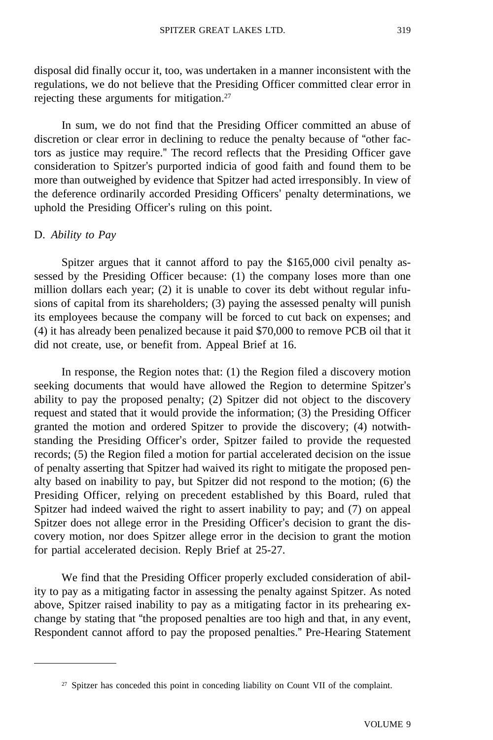disposal did finally occur it, too, was undertaken in a manner inconsistent with the regulations, we do not believe that the Presiding Officer committed clear error in rejecting these arguments for mitigation.<sup>27</sup>

In sum, we do not find that the Presiding Officer committed an abuse of discretion or clear error in declining to reduce the penalty because of "other factors as justice may require." The record reflects that the Presiding Officer gave consideration to Spitzer's purported indicia of good faith and found them to be more than outweighed by evidence that Spitzer had acted irresponsibly. In view of the deference ordinarily accorded Presiding Officers' penalty determinations, we uphold the Presiding Officer's ruling on this point.

### D. *Ability to Pay*

Spitzer argues that it cannot afford to pay the \$165,000 civil penalty assessed by the Presiding Officer because: (1) the company loses more than one million dollars each year; (2) it is unable to cover its debt without regular infusions of capital from its shareholders; (3) paying the assessed penalty will punish its employees because the company will be forced to cut back on expenses; and (4) it has already been penalized because it paid \$70,000 to remove PCB oil that it did not create, use, or benefit from. Appeal Brief at 16.

In response, the Region notes that: (1) the Region filed a discovery motion seeking documents that would have allowed the Region to determine Spitzer's ability to pay the proposed penalty; (2) Spitzer did not object to the discovery request and stated that it would provide the information; (3) the Presiding Officer granted the motion and ordered Spitzer to provide the discovery; (4) notwithstanding the Presiding Officer's order, Spitzer failed to provide the requested records; (5) the Region filed a motion for partial accelerated decision on the issue of penalty asserting that Spitzer had waived its right to mitigate the proposed penalty based on inability to pay, but Spitzer did not respond to the motion; (6) the Presiding Officer, relying on precedent established by this Board, ruled that Spitzer had indeed waived the right to assert inability to pay; and (7) on appeal Spitzer does not allege error in the Presiding Officer's decision to grant the discovery motion, nor does Spitzer allege error in the decision to grant the motion for partial accelerated decision. Reply Brief at 25-27.

We find that the Presiding Officer properly excluded consideration of ability to pay as a mitigating factor in assessing the penalty against Spitzer. As noted above, Spitzer raised inability to pay as a mitigating factor in its prehearing exchange by stating that "the proposed penalties are too high and that, in any event, Respondent cannot afford to pay the proposed penalties." Pre-Hearing Statement

<sup>&</sup>lt;sup>27</sup> Spitzer has conceded this point in conceding liability on Count VII of the complaint.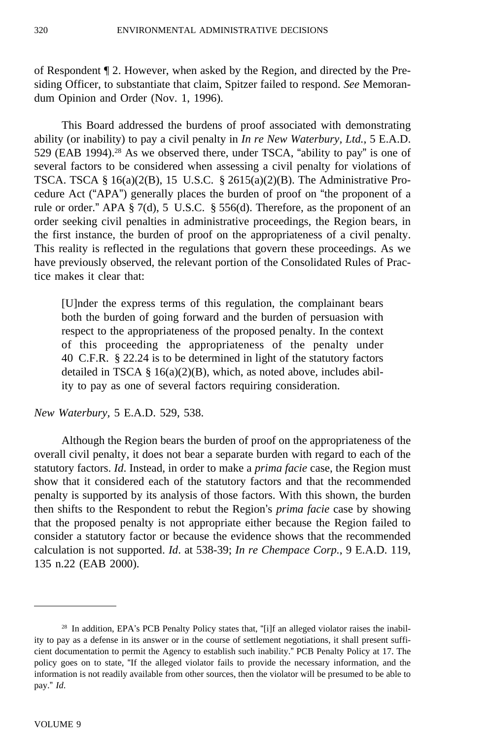of Respondent ¶ 2. However, when asked by the Region, and directed by the Presiding Officer, to substantiate that claim, Spitzer failed to respond. *See* Memorandum Opinion and Order (Nov. 1, 1996).

This Board addressed the burdens of proof associated with demonstrating ability (or inability) to pay a civil penalty in *In re New Waterbury, Ltd.*, 5 E.A.D. 529 (EAB 1994).<sup>28</sup> As we observed there, under TSCA, "ability to pay" is one of several factors to be considered when assessing a civil penalty for violations of TSCA. TSCA §  $16(a)(2(B), 15 \text{ U.S.C. } § 2615(a)(2)(B)$ . The Administrative Procedure Act ("APA") generally places the burden of proof on "the proponent of a rule or order." APA § 7(d), 5 U.S.C. § 556(d). Therefore, as the proponent of an order seeking civil penalties in administrative proceedings, the Region bears, in the first instance, the burden of proof on the appropriateness of a civil penalty. This reality is reflected in the regulations that govern these proceedings. As we have previously observed, the relevant portion of the Consolidated Rules of Practice makes it clear that:

[U]nder the express terms of this regulation, the complainant bears both the burden of going forward and the burden of persuasion with respect to the appropriateness of the proposed penalty. In the context of this proceeding the appropriateness of the penalty under 40 C.F.R. § 22.24 is to be determined in light of the statutory factors detailed in TSCA  $\S$  16(a)(2)(B), which, as noted above, includes ability to pay as one of several factors requiring consideration.

*New Waterbury,* 5 E.A.D. 529, 538.

Although the Region bears the burden of proof on the appropriateness of the overall civil penalty, it does not bear a separate burden with regard to each of the statutory factors. *Id*. Instead, in order to make a *prima facie* case, the Region must show that it considered each of the statutory factors and that the recommended penalty is supported by its analysis of those factors. With this shown, the burden then shifts to the Respondent to rebut the Region's *prima facie* case by showing that the proposed penalty is not appropriate either because the Region failed to consider a statutory factor or because the evidence shows that the recommended calculation is not supported. *Id*. at 538-39; *In re Chempace Corp.*, 9 E.A.D. 119, 135 n.22 (EAB 2000).

<sup>&</sup>lt;sup>28</sup> In addition, EPA's PCB Penalty Policy states that, "[i]f an alleged violator raises the inability to pay as a defense in its answer or in the course of settlement negotiations, it shall present sufficient documentation to permit the Agency to establish such inability." PCB Penalty Policy at 17. The policy goes on to state, "If the alleged violator fails to provide the necessary information, and the information is not readily available from other sources, then the violator will be presumed to be able to pay." *Id*.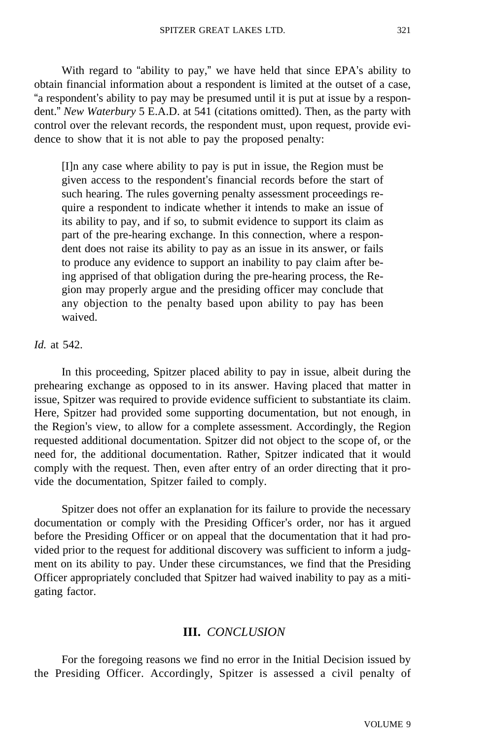With regard to "ability to pay," we have held that since EPA's ability to obtain financial information about a respondent is limited at the outset of a case, "a respondent's ability to pay may be presumed until it is put at issue by a respondent." *New Waterbury* 5 E.A.D. at 541 (citations omitted). Then, as the party with control over the relevant records, the respondent must, upon request, provide evidence to show that it is not able to pay the proposed penalty:

[I]n any case where ability to pay is put in issue, the Region must be given access to the respondent's financial records before the start of such hearing. The rules governing penalty assessment proceedings require a respondent to indicate whether it intends to make an issue of its ability to pay, and if so, to submit evidence to support its claim as part of the pre-hearing exchange. In this connection, where a respondent does not raise its ability to pay as an issue in its answer, or fails to produce any evidence to support an inability to pay claim after being apprised of that obligation during the pre-hearing process, the Region may properly argue and the presiding officer may conclude that any objection to the penalty based upon ability to pay has been waived.

*Id.* at 542.

In this proceeding, Spitzer placed ability to pay in issue, albeit during the prehearing exchange as opposed to in its answer. Having placed that matter in issue, Spitzer was required to provide evidence sufficient to substantiate its claim. Here, Spitzer had provided some supporting documentation, but not enough, in the Region's view, to allow for a complete assessment. Accordingly, the Region requested additional documentation. Spitzer did not object to the scope of, or the need for, the additional documentation. Rather, Spitzer indicated that it would comply with the request. Then, even after entry of an order directing that it provide the documentation, Spitzer failed to comply.

Spitzer does not offer an explanation for its failure to provide the necessary documentation or comply with the Presiding Officer's order, nor has it argued before the Presiding Officer or on appeal that the documentation that it had provided prior to the request for additional discovery was sufficient to inform a judgment on its ability to pay. Under these circumstances, we find that the Presiding Officer appropriately concluded that Spitzer had waived inability to pay as a mitigating factor.

## **III.** *CONCLUSION*

For the foregoing reasons we find no error in the Initial Decision issued by the Presiding Officer. Accordingly, Spitzer is assessed a civil penalty of